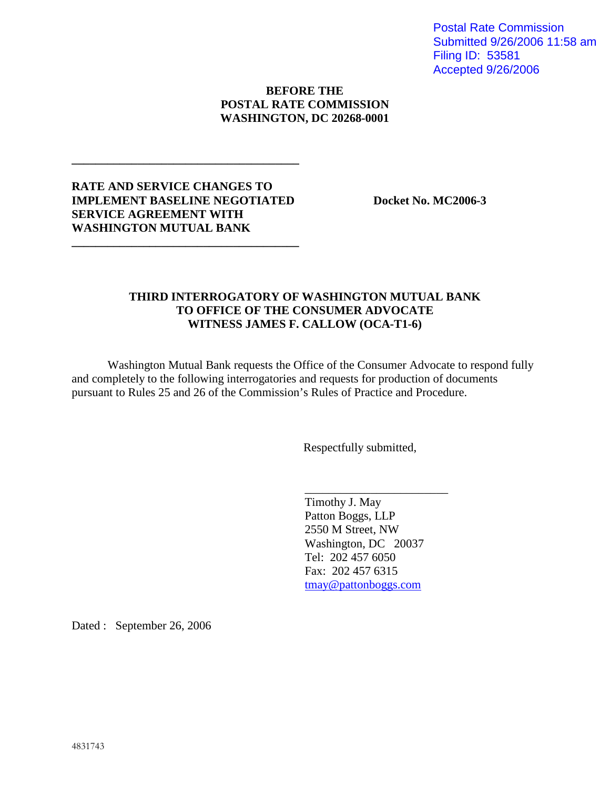Postal Rate Commission Submitted 9/26/2006 11:58 am Filing ID: 53581 Accepted 9/26/2006

## **BEFORE THE POSTAL RATE COMMISSION WASHINGTON, DC 20268-0001**

## **RATE AND SERVICE CHANGES TO IMPLEMENT BASELINE NEGOTIATED** Docket No. MC2006-3 **SERVICE AGREEMENT WITH WASHINGTON MUTUAL BANK**

**\_\_\_\_\_\_\_\_\_\_\_\_\_\_\_\_\_\_\_\_\_\_\_\_\_\_\_\_\_\_\_\_\_\_\_\_\_\_**

**\_\_\_\_\_\_\_\_\_\_\_\_\_\_\_\_\_\_\_\_\_\_\_\_\_\_\_\_\_\_\_\_\_\_\_\_\_\_**

## **THIRD INTERROGATORY OF WASHINGTON MUTUAL BANK TO OFFICE OF THE CONSUMER ADVOCATE WITNESS JAMES F. CALLOW (OCA-T1-6)**

Washington Mutual Bank requests the Office of the Consumer Advocate to respond fully and completely to the following interrogatories and requests for production of documents pursuant to Rules 25 and 26 of the Commission's Rules of Practice and Procedure.

Respectfully submitted,

Timothy J. May Patton Boggs, LLP 2550 M Street, NW Washington, DC 20037 Tel: 202 457 6050 Fax: 202 457 6315 tmay@pattonboggs.com

\_\_\_\_\_\_\_\_\_\_\_\_\_\_\_\_\_\_\_\_\_\_\_\_

Dated : September 26, 2006